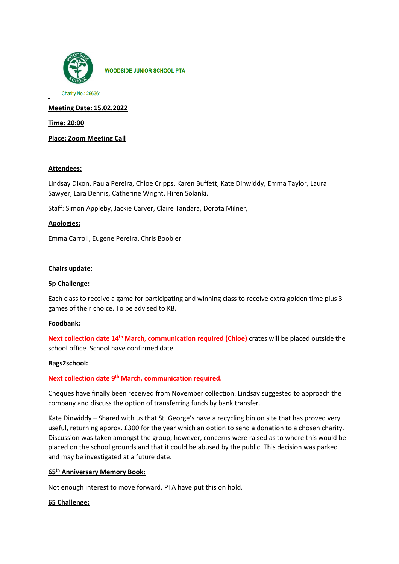

**WOODSIDE JUNIOR SCHOOL PTA** 

Charity No.: 296361

**Meeting Date: 15.02.2022**

**Time: 20:00**

**Place: Zoom Meeting Call**

## **Attendees:**

Lindsay Dixon, Paula Pereira, Chloe Cripps, Karen Buffett, Kate Dinwiddy, Emma Taylor, Laura Sawyer, Lara Dennis, Catherine Wright, Hiren Solanki.

Staff: Simon Appleby, Jackie Carver, Claire Tandara, Dorota Milner,

## **Apologies:**

Emma Carroll, Eugene Pereira, Chris Boobier

# **Chairs update:**

# **5p Challenge:**

Each class to receive a game for participating and winning class to receive extra golden time plus 3 games of their choice. To be advised to KB.

# **Foodbank:**

**Next collection date 14th March**, **communication required (Chloe)** crates will be placed outside the school office. School have confirmed date.

## **Bags2school:**

# **Next collection date 9th March, communication required.**

Cheques have finally been received from November collection. Lindsay suggested to approach the company and discuss the option of transferring funds by bank transfer.

Kate Dinwiddy – Shared with us that St. George's have a recycling bin on site that has proved very useful, returning approx. £300 for the year which an option to send a donation to a chosen charity. Discussion was taken amongst the group; however, concerns were raised as to where this would be placed on the school grounds and that it could be abused by the public. This decision was parked and may be investigated at a future date.

# **65th Anniversary Memory Book:**

Not enough interest to move forward. PTA have put this on hold.

## **65 Challenge:**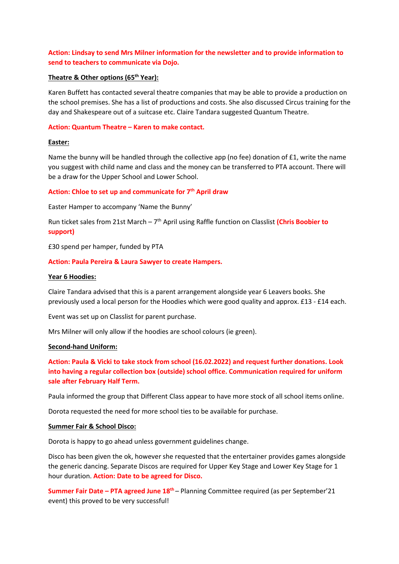# **Action: Lindsay to send Mrs Milner information for the newsletter and to provide information to send to teachers to communicate via Dojo.**

# **Theatre & Other options (65th Year):**

Karen Buffett has contacted several theatre companies that may be able to provide a production on the school premises. She has a list of productions and costs. She also discussed Circus training for the day and Shakespeare out of a suitcase etc. Claire Tandara suggested Quantum Theatre.

# **Action: Quantum Theatre – Karen to make contact.**

# **Easter:**

Name the bunny will be handled through the collective app (no fee) donation of £1, write the name you suggest with child name and class and the money can be transferred to PTA account. There will be a draw for the Upper School and Lower School.

# **Action: Chloe to set up and communicate for 7th April draw**

Easter Hamper to accompany 'Name the Bunny'

Run ticket sales from 21st March – 7th April using Raffle function on Classlist **(Chris Boobier to support)** 

£30 spend per hamper, funded by PTA

## **Action: Paula Pereira & Laura Sawyer to create Hampers.**

#### **Year 6 Hoodies:**

Claire Tandara advised that this is a parent arrangement alongside year 6 Leavers books. She previously used a local person for the Hoodies which were good quality and approx. £13 - £14 each.

Event was set up on Classlist for parent purchase.

Mrs Milner will only allow if the hoodies are school colours (ie green).

#### **Second-hand Uniform:**

**Action: Paula & Vicki to take stock from school (16.02.2022) and request further donations. Look into having a regular collection box (outside) school office. Communication required for uniform sale after February Half Term.** 

Paula informed the group that Different Class appear to have more stock of all school items online.

Dorota requested the need for more school ties to be available for purchase.

#### **Summer Fair & School Disco:**

Dorota is happy to go ahead unless government guidelines change.

Disco has been given the ok, however she requested that the entertainer provides games alongside the generic dancing. Separate Discos are required for Upper Key Stage and Lower Key Stage for 1 hour duration. **Action: Date to be agreed for Disco.**

**Summer Fair Date – PTA agreed June 18<sup>th</sup> –** Planning Committee required (as per September'21 event) this proved to be very successful!